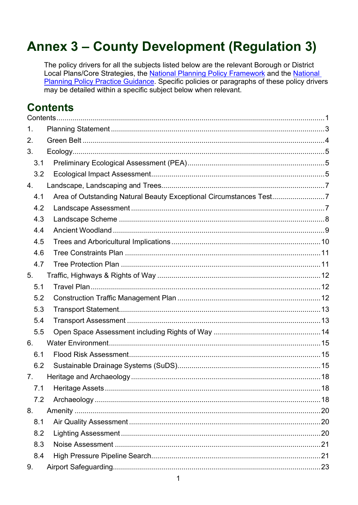# **Annex 3 - County Development (Regulation 3)**

The policy drivers for all the subjects listed below are the relevant Borough or District Local Plans/Core Strategies, the National Planning Policy Framework and the National Planning Policy Practice Guidance. Specific policies or paragraphs of these policy drivers may be detailed within a specific subject below when relevant.

# <span id="page-0-0"></span>**Contents**

| $\mathbf 1$ .  |                                                                    |  |  |  |
|----------------|--------------------------------------------------------------------|--|--|--|
| 2.             |                                                                    |  |  |  |
| 3.             |                                                                    |  |  |  |
| 3.1            |                                                                    |  |  |  |
| 3.2            |                                                                    |  |  |  |
| 4.             |                                                                    |  |  |  |
| 4.1            | Area of Outstanding Natural Beauty Exceptional Circumstances Test7 |  |  |  |
| 4.2            |                                                                    |  |  |  |
| 4.3            |                                                                    |  |  |  |
| 4.4            |                                                                    |  |  |  |
| 4.5            |                                                                    |  |  |  |
| 4.6            |                                                                    |  |  |  |
| 4.7            |                                                                    |  |  |  |
| 5.             |                                                                    |  |  |  |
| 5.1            |                                                                    |  |  |  |
| 5.2            |                                                                    |  |  |  |
| 5.3            |                                                                    |  |  |  |
| 5.4            |                                                                    |  |  |  |
| 5.5            |                                                                    |  |  |  |
| 6.             |                                                                    |  |  |  |
| 6.1            |                                                                    |  |  |  |
| 6.2            |                                                                    |  |  |  |
| 7 <sub>1</sub> |                                                                    |  |  |  |
| 7.1            |                                                                    |  |  |  |
| 7.2            |                                                                    |  |  |  |
| 8.             |                                                                    |  |  |  |
| 8.1            |                                                                    |  |  |  |
| 8.2            |                                                                    |  |  |  |
| 8.3            |                                                                    |  |  |  |
| 8.4            |                                                                    |  |  |  |
| 9.             |                                                                    |  |  |  |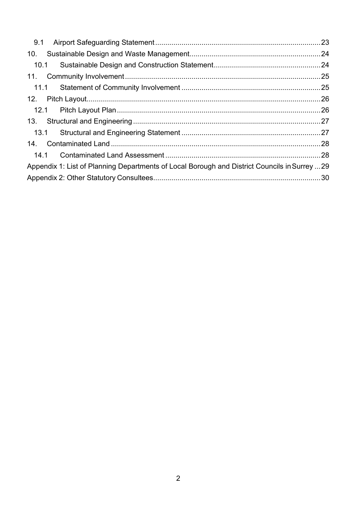| 10.  |  |                                                                                               |  |
|------|--|-----------------------------------------------------------------------------------------------|--|
| 10.1 |  |                                                                                               |  |
|      |  |                                                                                               |  |
|      |  |                                                                                               |  |
|      |  |                                                                                               |  |
|      |  |                                                                                               |  |
|      |  |                                                                                               |  |
|      |  |                                                                                               |  |
|      |  |                                                                                               |  |
| 14.1 |  |                                                                                               |  |
|      |  | Appendix 1: List of Planning Departments of Local Borough and District Councils in Surrey  29 |  |
|      |  |                                                                                               |  |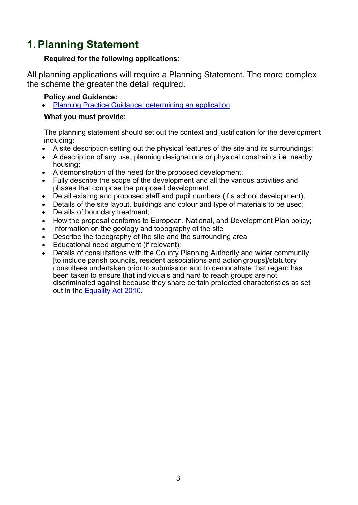# <span id="page-2-0"></span>**1.Planning Statement**

#### **Required for the following applications:**

All planning applications will require a Planning Statement. The more complex the scheme the greater the detail required.

#### **Policy and Guidance:**

• [Planning Practice Guidance: determining an application](https://www.gov.uk/guidance/determining-a-planning-application)

#### **What you must provide:**

The planning statement should set out the context and justification for the development including:

- A site description setting out the physical features of the site and its surroundings;
- A description of any use, planning designations or physical constraints i.e. nearby housing;
- A demonstration of the need for the proposed development;
- Fully describe the scope of the development and all the various activities and phases that comprise the proposed development;
- Detail existing and proposed staff and pupil numbers (if a school development);
- Details of the site layout, buildings and colour and type of materials to be used;
- Details of boundary treatment;
- How the proposal conforms to European, National, and Development Plan policy;
- Information on the geology and topography of the site
- Describe the topography of the site and the surrounding area
- Educational need argument (if relevant);
- Details of consultations with the County Planning Authority and wider community [to include parish councils, resident associations and action groups]/statutory consultees undertaken prior to submission and to demonstrate that regard has been taken to ensure that individuals and hard to reach groups are not discriminated against because they share certain protected characteristics as set out in the [Equality Act 2010.](https://www.surreycc.gov.uk/council-and-democracy/finance-and-performance/equality-and-diversity/the-equality-act-2010)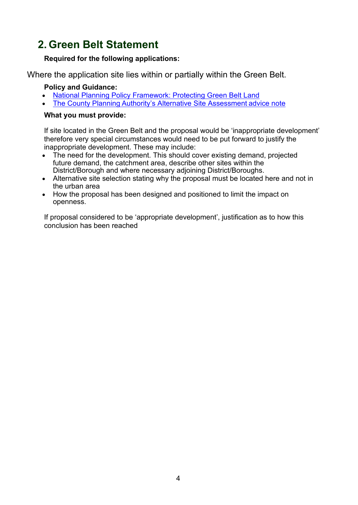# <span id="page-3-0"></span>**2. Green Belt Statement**

### **Required for the following applications:**

Where the application site lies within or partially within the Green Belt.

### **Policy and Guidance:**

- [National Planning Policy Framework: Protecting Green Belt Land](https://assets.publishing.service.gov.uk/government/uploads/system/uploads/attachment_data/file/810197/NPPF_Feb_2019_revised.pdf)
- The County Planning [Authority's Alternative Site Assessment](https://www.surreycc.gov.uk/__data/assets/pdf_file/0008/71747/AlternativeSiteAssessmentNote.pdf) advice note

#### **What you must provide:**

If site located in the Green Belt and the proposal would be 'inappropriate development' therefore very special circumstances would need to be put forward to justify the inappropriate development. These may include:

- The need for the development. This should cover existing demand, projected future demand, the catchment area, describe other sites within the District/Borough and where necessary adjoining District/Boroughs.
- Alternative site selection stating why the proposal must be located here and not in the urban area
- How the proposal has been designed and positioned to limit the impact on openness.

If proposal considered to be 'appropriate development', justification as to how this conclusion has been reached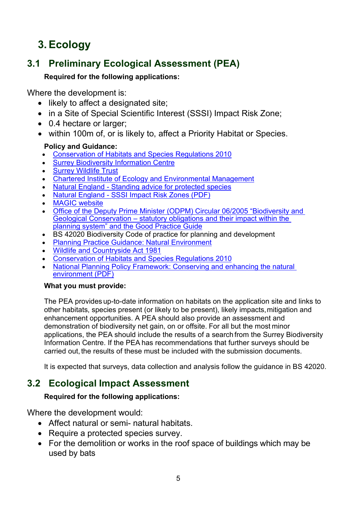# <span id="page-4-0"></span>**3. Ecology**

# <span id="page-4-1"></span>**3.1 Preliminary Ecological Assessment (PEA)**

# **Required for the following applications:**

Where the development is:

- likely to affect a designated site;
- in a Site of Special Scientific Interest (SSSI) Impact Risk Zone;
- 0.4 hectare or larger:
- within 100m of, or is likely to, affect a Priority Habitat or Species.

## **Policy and Guidance:**

- [Conservation of Habitats and Species Regulations 2010](http://www.legislation.gov.uk/uksi/2010/490/contents/made)
- [Surrey Biodiversity Information Centre](http://www.surreywildlifetrust.org/sbic)
- [Surrey Wildlife Trust](http://www.surreywildlifetrust.org/)
- [Chartered Institute of Ecology and Environmental Management](http://www.cieem.net/)
- Natural England [Standing advice for protected species](http://www.naturalengland.org.uk/ourwork/planningdevelopment/spatialplanning/standingadvice/default.aspx)
- Natural England [SSSI Impact Risk Zones \(PDF\)](https://magic.defra.gov.uk/Metadata_for_magic/SSSI%20IRZ%20User%20Guidance%20MAGIC.pdf)
- [MAGIC website](http://www.magic.gov.uk/)
- [Office of the Deputy Prime Minister \(ODPM\) Circular 06/2005 "Biodiversity and](https://www.gov.uk/government/publications/biodiversity-and-geological-conservation-circular-06-2005)  Geological Conservation – [statutory obligations and their impact within the](https://www.gov.uk/government/publications/biodiversity-and-geological-conservation-circular-06-2005)  [planning system" and the Good Practice Guide](https://www.gov.uk/government/publications/biodiversity-and-geological-conservation-circular-06-2005)
- BS 42020 Biodiversity Code of practice for planning and development
- [Planning Practice Guidance: Natural Environment](https://www.gov.uk/guidance/natural-environment)
- [Wildlife and Countryside Act 1981](http://www.legislation.gov.uk/ukpga/1981/69)
- [Conservation of Habitats and Species Regulations 2010](http://www.legislation.gov.uk/uksi/2010/490/contents/made)
- National Planning Policy Framework: Conserving and enhancing the natural [environment \(PDF\)](https://assets.publishing.service.gov.uk/government/uploads/system/uploads/attachment_data/file/810197/NPPF_Feb_2019_revised.pdf)

## **What you must provide:**

The PEA provides up-to-date information on habitats on the application site and links to other habitats, species present (or likely to be present), likely impacts,mitigation and enhancement opportunities. A PEA should also provide an assessment and demonstration of biodiversity net gain, on or offsite. For all but the most minor applications, the PEA should include the results of a search from the Surrey Biodiversity Information Centre. If the PEA has recommendations that further surveys should be carried out, the results of these must be included with the submission documents.

It is expected that surveys, data collection and analysis follow the guidance in BS 42020.

# <span id="page-4-2"></span>**3.2 Ecological Impact Assessment**

# **Required for the following applications:**

Where the development would:

- Affect natural or semi- natural habitats.
- Require a protected species survey.
- For the demolition or works in the roof space of buildings which may be used by bats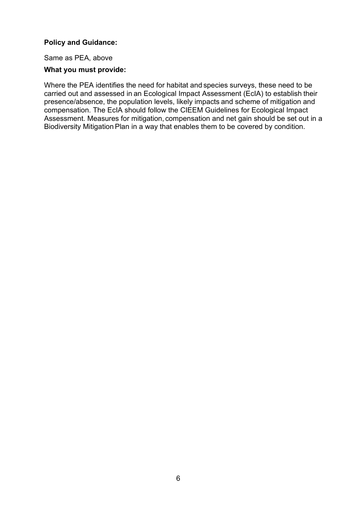#### **Policy and Guidance:**

Same as PEA, above

#### **What you must provide:**

Where the PEA identifies the need for habitat and species surveys, these need to be carried out and assessed in an Ecological Impact Assessment (EcIA) to establish their presence/absence, the population levels, likely impacts and scheme of mitigation and compensation. The EcIA should follow the CIEEM Guidelines for Ecological Impact Assessment. Measures for mitigation, compensation and net gain should be set out in a Biodiversity Mitigation Plan in a way that enables them to be covered by condition.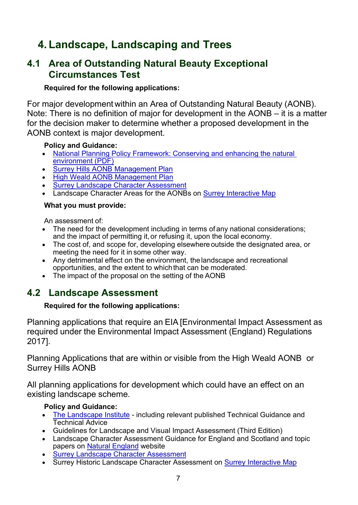# <span id="page-6-0"></span>**4. Landscape, Landscaping and Trees**

# <span id="page-6-1"></span>**4.1 Area of Outstanding Natural Beauty Exceptional Circumstances Test**

## **Required for the following applications:**

For major development within an Area of Outstanding Natural Beauty (AONB). Note: There is no definition of major for development in the AONB – it is a matter for the decision maker to determine whether a proposed development in the AONB context is major development.

### **Policy and Guidance:**

- [National Planning Policy Framework: Conserving and enhancing the natural](https://assets.publishing.service.gov.uk/government/uploads/system/uploads/attachment_data/file/810197/NPPF_Feb_2019_revised.pdf)  [environment \(PDF\)](https://assets.publishing.service.gov.uk/government/uploads/system/uploads/attachment_data/file/810197/NPPF_Feb_2019_revised.pdf)
- [Surrey Hills AONB Management Plan](http://www.surreyhills.org/board/management-plan-2014-2019/)
- [High Weald AONB Management Plan](http://www.highweald.org/high-weald-aonb-management-plan.html)
- [Surrey Landscape Character Assessment](https://www.surreycc.gov.uk/land-planning-and-development/countryside/strategies-action-plans-and-guidance/landscape-character-assessment)
- Landscape Character Areas for the AONBs on [Surrey Interactive Map](https://www.surreycc.gov.uk/land-planning-and-development/interactive-map)

### **What you must provide:**

An assessment of:

- The need for the development including in terms of any national considerations; and the impact of permitting it, or refusing it, upon the local economy.
- The cost of, and scope for, developing elsewhere outside the designated area, or meeting the need for it in some other way.
- Any detrimental effect on the environment, the landscape and recreational opportunities, and the extent to whichthat can be moderated.
- The impact of the proposal on the setting of the AONB

# <span id="page-6-2"></span>**4.2 Landscape Assessment**

## **Required for the following applications:**

Planning applications that require an EIA [Environmental Impact Assessment as required under the Environmental Impact Assessment (England) Regulations 2017].

Planning Applications that are within or visible from the High Weald AONB or Surrey Hills AONB

All planning applications for development which could have an effect on an existing landscape scheme.

## **Policy and Guidance:**

- [The Landscape Institute](https://www.landscapeinstitute.org/) including relevant published Technical Guidance and Technical Advice
- Guidelines for Landscape and Visual Impact Assessment (Third Edition)
- Landscape Character Assessment Guidance for England and Scotland and topic papers on [Natural England](http://www.naturalengland.org.uk/) website
- [Surrey Landscape Character Assessment](https://www.surreycc.gov.uk/land-planning-and-development/countryside/strategies-action-plans-and-guidance/landscape-character-assessment)
- Surrey Historic Landscape Character Assessment on **Surrey Interactive Map**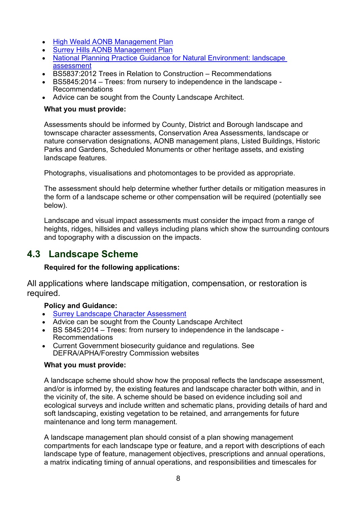- [High Weald AONB Management Plan](http://www.highweald.org/high-weald-aonb-management-plan.html)
- [Surrey Hills AONB Management Plan](http://www.surreyhills.org/board/management-plan-2014-2019/)
- [National Planning Practice Guidance for Natural Environment: landscape](https://www.gov.uk/guidance/natural-environment#landscape)  [assessment](https://www.gov.uk/guidance/natural-environment#landscape)
- BS5837:2012 Trees in Relation to Construction Recommendations
- BS5845:2014 Trees: from nursery to independence in the landscape Recommendations
- Advice can be sought from the County Landscape Architect.

#### **What you must provide:**

Assessments should be informed by County, District and Borough landscape and townscape character assessments, Conservation Area Assessments, landscape or nature conservation designations, AONB management plans, Listed Buildings, Historic Parks and Gardens, Scheduled Monuments or other heritage assets, and existing landscape features.

Photographs, visualisations and photomontages to be provided as appropriate.

The assessment should help determine whether further details or mitigation measures in the form of a landscape scheme or other compensation will be required (potentially see below).

Landscape and visual impact assessments must consider the impact from a range of heights, ridges, hillsides and valleys including plans which show the surrounding contours and topography with a discussion on the impacts.

# <span id="page-7-0"></span>**4.3 Landscape Scheme**

### **Required for the following applications:**

All applications where landscape mitigation, compensation, or restoration is required.

### **Policy and Guidance:**

- [Surrey Landscape Character Assessment](https://www.surreycc.gov.uk/land-planning-and-development/countryside/strategies-action-plans-and-guidance/landscape-character-assessment)
- Advice can be sought from the County Landscape Architect
- BS 5845:2014 Trees: from nursery to independence in the landscape Recommendations
- Current Government biosecurity guidance and regulations. See DEFRA/APHA/Forestry Commission websites

#### **What you must provide:**

A landscape scheme should show how the proposal reflects the landscape assessment, and/or is informed by, the existing features and landscape character both within, and in the vicinity of, the site. A scheme should be based on evidence including soil and ecological surveys and include written and schematic plans, providing details of hard and soft landscaping, existing vegetation to be retained, and arrangements for future maintenance and long term management.

A landscape management plan should consist of a plan showing management compartments for each landscape type or feature, and a report with descriptions of each landscape type of feature, management objectives, prescriptions and annual operations, a matrix indicating timing of annual operations, and responsibilities and timescales for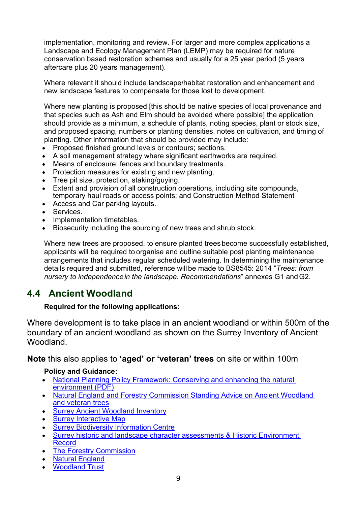implementation, monitoring and review. For larger and more complex applications a Landscape and Ecology Management Plan (LEMP) may be required for nature conservation based restoration schemes and usually for a 25 year period (5 years aftercare plus 20 years management).

Where relevant it should include landscape/habitat restoration and enhancement and new landscape features to compensate for those lost to development.

Where new planting is proposed [this should be native species of local provenance and that species such as Ash and Elm should be avoided where possible] the application should provide as a minimum, a schedule of plants, noting species, plant or stock size, and proposed spacing, numbers or planting densities, notes on cultivation, and timing of planting. Other information that should be provided may include:

- Proposed finished ground levels or contours; sections.
- A soil management strategy where significant earthworks are required.
- Means of enclosure; fences and boundary treatments.
- Protection measures for existing and new planting.
- Tree pit size, protection, staking/guying.
- Extent and provision of all construction operations, including site compounds, temporary haul roads or access points; and Construction Method Statement
- Access and Car parking layouts.
- Services.
- Implementation timetables.
- Biosecurity including the sourcing of new trees and shrub stock.

Where new trees are proposed, to ensure planted treesbecome successfully established, applicants will be required to organise and outline suitable post planting maintenance arrangements that includes regular scheduled watering. In determining the maintenance details required and submitted, reference willbe made to BS8545: 2014 "*Trees: from nursery to independencein the landscape. Recommendations*" annexes G1 andG2.

# <span id="page-8-0"></span>**4.4 Ancient Woodland**

### **Required for the following applications:**

Where development is to take place in an ancient woodland or within 500m of the boundary of an ancient woodland as shown on the Surrey Inventory of Ancient Woodland.

**Note** this also applies to **'aged' or 'veteran' trees** on site or within 100m

### **Policy and Guidance:**

- National Planning Policy Framework: Conserving and enhancing the natural [environment \(PDF\)](https://assets.publishing.service.gov.uk/government/uploads/system/uploads/attachment_data/file/810197/NPPF_Feb_2019_revised.pdf)
- [Natural England and Forestry Commission Standing Advice on Ancient Woodland](https://www.gov.uk/guidance/ancient-woodland-and-veteran-trees-protection-surveys-licences)  [and veteran trees](https://www.gov.uk/guidance/ancient-woodland-and-veteran-trees-protection-surveys-licences)
- [Surrey Ancient Woodland Inventory](https://www.surreycc.gov.uk/land-planning-and-development/countryside/woodlands/surveys)
- **[Surrey Interactive Map](https://www.surreycc.gov.uk/land-planning-and-development/interactive-map)**
- **[Surrey Biodiversity Information Centre](http://www.surreywildlifetrust.org/SBIC)**
- [Surrey historic and landscape character assessments & Historic Environment](https://www.surreycc.gov.uk/land-planning-and-development/historical-planning/historic-environment-record)  [Record](https://www.surreycc.gov.uk/land-planning-and-development/historical-planning/historic-environment-record)
- **[The Forestry Commission](https://www.gov.uk/guidance/planning-applications-affecting-trees-and-woodland)**
- **[Natural England](https://www.gov.uk/government/organisations/natural-england)**
- [Woodland Trust](https://www.woodlandtrust.org.uk/)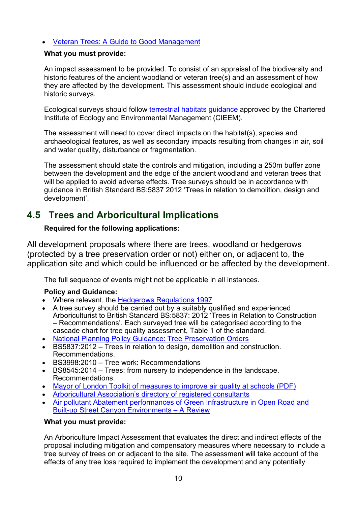### • [Veteran Trees: A Guide to Good Management](http://publications.naturalengland.org.uk/publication/75035)

#### **What you must provide:**

An impact assessment to be provided. To consist of an appraisal of the biodiversity and historic features of the ancient woodland or veteran tree(s) and an assessment of how they are affected by the development. This assessment should include ecological and historic surveys.

Ecological surveys should follow [terrestrial habitats guidance](http://www.cieem.net/habitats-terrestrial) approved by the Chartered Institute of Ecology and Environmental Management (CIEEM).

The assessment will need to cover direct impacts on the habitat(s), species and archaeological features, as well as secondary impacts resulting from changes in air, soil and water quality, disturbance or fragmentation.

The assessment should state the controls and mitigation, including a 250m buffer zone between the development and the edge of the ancient woodland and veteran trees that will be applied to avoid adverse effects. Tree surveys should be in accordance with guidance in British Standard BS:5837 2012 'Trees in relation to demolition, design and development'.

# <span id="page-9-0"></span>**4.5 Trees and Arboricultural Implications**

### **Required for the following applications:**

All development proposals where there are trees, woodland or hedgerows (protected by a tree preservation order or not) either on, or adjacent to, the application site and which could be influenced or be affected by the development.

The full sequence of events might not be applicable in all instances.

### **Policy and Guidance:**

- Where relevant, the [Hedgerows Regulations 1997](http://www.naturalengland.org.uk/ourwork/regulation/hedgeregs/default.aspx)
- A tree survey should be carried out by a suitably qualified and experienced Arboriculturist to British Standard BS:5837: 2012 'Trees in Relation to Construction – Recommendations'. Each surveyed tree will be categorised according to the cascade chart for tree quality assessment, Table 1 of the standard.
- [National Planning Policy Guidance: Tree Preservation Orders](https://www.gov.uk/guidance/tree-preservation-orders-and-trees-in-conservation-areas)
- BS5837:2012 Trees in relation to design, demolition and construction. Recommendations.
- BS3998:2010 Tree work: Recommendations
- BS8545:2014 Trees: from nursery to independence in the landscape. Recommendations.
- [Mayor of London Toolkit of measures to improve air quality at schools \(PDF\)](https://www.london.gov.uk/sites/default/files/school_aq_audits_-_toolkit_of_measures_dr_v3.3.pdf)
- [Arboricultural Association's directory of registered consultants](http://www.trees.org.uk/)
- [Air pollutant Abatement performances of Green Infrastructure in Open](https://www.sciencedirect.com/science/article/pii/S1352231017303151) Road and [Built-up Street Canyon Environments –](https://www.sciencedirect.com/science/article/pii/S1352231017303151) A Review

#### **What you must provide:**

An Arboriculture Impact Assessment that evaluates the direct and indirect effects of the proposal including mitigation and compensatory measures where necessary to include a tree survey of trees on or adjacent to the site. The assessment will take account of the effects of any tree loss required to implement the development and any potentially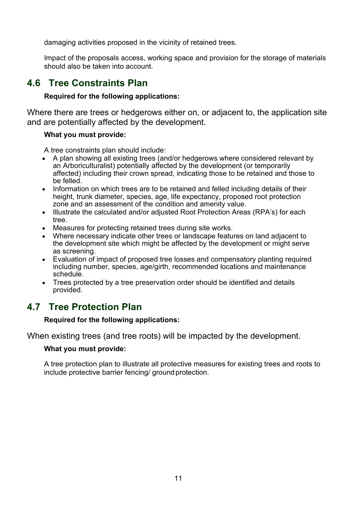damaging activities proposed in the vicinity of retained trees.

Impact of the proposals access, working space and provision for the storage of materials should also be taken into account.

# <span id="page-10-0"></span>**4.6 Tree Constraints Plan**

### **Required for the following applications:**

Where there are trees or hedgerows either on, or adjacent to, the application site and are potentially affected by the development.

### **What you must provide:**

A tree constraints plan should include:

- A plan showing all existing trees (and/or hedgerows where considered relevant by an Arboriculturalist) potentially affected by the development (or temporarily affected) including their crown spread, indicating those to be retained and those to be felled.
- Information on which trees are to be retained and felled including details of their height, trunk diameter, species, age, life expectancy, proposed root protection zone and an assessment of the condition and amenity value.
- Illustrate the calculated and/or adjusted Root Protection Areas (RPA's) for each tree.
- Measures for protecting retained trees during site works.
- Where necessary indicate other trees or landscape features on land adjacent to the development site which might be affected by the development or might serve as screening.
- Evaluation of impact of proposed tree losses and compensatory planting required including number, species, age/girth, recommended locations and maintenance schedule.
- Trees protected by a tree preservation order should be identified and details provided.

# <span id="page-10-1"></span>**4.7 Tree Protection Plan**

### **Required for the following applications:**

When existing trees (and tree roots) will be impacted by the development.

## **What you must provide:**

A tree protection plan to illustrate all protective measures for existing trees and roots to include protective barrier fencing/ ground protection.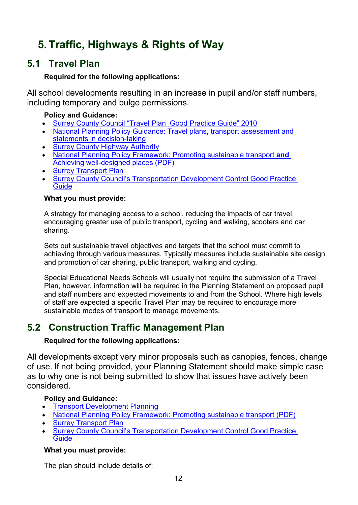# <span id="page-11-0"></span>**5. Traffic, Highways & Rights of Way**

# <span id="page-11-1"></span>**5.1 Travel Plan**

# **Required for the following applications:**

All school developments resulting in an increase in pupil and/or staff numbers, including temporary and bulge permissions.

## **Policy and Guidance:**

- [Surrey County Council "Travel Plan Good Practice Guide" 2010](https://www.surreycc.gov.uk/roads-and-transport/policies-plans-consultations/company-travel-plans/new-development)
- [National Planning Policy Guidance: Travel plans, transport assessment and](http://planningguidance.planningportal.gov.uk/blog/guidance/travel-plans-transport-assessments-and-statements-in-decision-taking/)  [statements in decision-taking](http://planningguidance.planningportal.gov.uk/blog/guidance/travel-plans-transport-assessments-and-statements-in-decision-taking/)
- [Surrey County Highway Authority](https://www.surreycc.gov.uk/land-planning-and-development/planning/transport-development)
- [National Planning Policy Framework: Promoting sustainable transport](https://assets.publishing.service.gov.uk/government/uploads/system/uploads/attachment_data/file/810197/NPPF_Feb_2019_revised.pdf) **and** [Achieving well-designed places \(PDF\)](https://assets.publishing.service.gov.uk/government/uploads/system/uploads/attachment_data/file/810197/NPPF_Feb_2019_revised.pdf)
- [Surrey Transport Plan](https://www.surreycc.gov.uk/roads-and-transport/policies-plans-consultations/transport-plan)
- [Surrey County Council's Transportation Development Control Good Practice](https://www.surreycc.gov.uk/land-planning-and-development/planning/transport-development/good-practice-guide)  **[Guide](https://www.surreycc.gov.uk/land-planning-and-development/planning/transport-development/good-practice-guide)**

## **What you must provide:**

A strategy for managing access to a school, reducing the impacts of car travel, encouraging greater use of public transport, cycling and walking, scooters and car sharing.

Sets out sustainable travel objectives and targets that the school must commit to achieving through various measures. Typically measures include sustainable site design and promotion of car sharing, public transport, walking and cycling.

Special Educational Needs Schools will usually not require the submission of a Travel Plan, however, information will be required in the Planning Statement on proposed pupil and staff numbers and expected movements to and from the School. Where high levels of staff are expected a specific Travel Plan may be required to encourage more sustainable modes of transport to manage movements.

# <span id="page-11-2"></span>**5.2 Construction Traffic Management Plan**

# **Required for the following applications:**

All developments except very minor proposals such as canopies, fences, change of use. If not being provided, your Planning Statement should make simple case as to why one is not being submitted to show that issues have actively been considered.

# **Policy and Guidance:**

- [Transport Development Planning](https://www.surreycc.gov.uk/land-planning-and-development/planning/transport-development)
- [National Planning Policy Framework: Promoting sustainable transport \(PDF\)](https://assets.publishing.service.gov.uk/government/uploads/system/uploads/attachment_data/file/810197/NPPF_Feb_2019_revised.pdf)
- [Surrey Transport Plan](https://www.surreycc.gov.uk/roads-and-transport/policies-plans-consultations/transport-plan)
- [Surrey County Council's Transportation Development Control Good Practice](https://www.surreycc.gov.uk/land-planning-and-development/planning/transport-development/good-practice-guide)  **[Guide](https://www.surreycc.gov.uk/land-planning-and-development/planning/transport-development/good-practice-guide)**

# **What you must provide:**

The plan should include details of: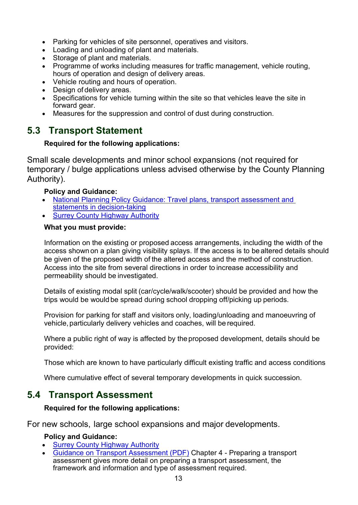- Parking for vehicles of site personnel, operatives and visitors.
- Loading and unloading of plant and materials.
- Storage of plant and materials.
- Programme of works including measures for traffic management, vehicle routing, hours of operation and design of delivery areas.
- Vehicle routing and hours of operation.
- Design of delivery areas.
- Specifications for vehicle turning within the site so that vehicles leave the site in forward gear.
- Measures for the suppression and control of dust during construction.

# <span id="page-12-0"></span>**5.3 Transport Statement**

### **Required for the following applications:**

Small scale developments and minor school expansions (not required for temporary / bulge applications unless advised otherwise by the County Planning Authority).

#### **Policy and Guidance:**

- [National Planning Policy Guidance: Travel plans, transport assessment and](http://planningguidance.planningportal.gov.uk/blog/guidance/travel-plans-transport-assessments-and-statements-in-decision-taking/)  [statements in decision-taking](http://planningguidance.planningportal.gov.uk/blog/guidance/travel-plans-transport-assessments-and-statements-in-decision-taking/)
- **[Surrey County Highway Authority](https://www.surreycc.gov.uk/land-planning-and-development/planning/transport-development)**

#### **What you must provide:**

Information on the existing or proposed access arrangements, including the width of the access shown on a plan giving visibility splays. If the access is to be altered details should be given of the proposed width of the altered access and the method of construction. Access into the site from several directions in order to increase accessibility and permeability should be investigated.

Details of existing modal split (car/cycle/walk/scooter) should be provided and how the trips would be would be spread during school dropping off/picking up periods.

Provision for parking for staff and visitors only, loading/unloading and manoeuvring of vehicle,particularly delivery vehicles and coaches, will be required.

Where a public right of way is affected by the proposed development, details should be provided:

Those which are known to have particularly difficult existing traffic and access conditions

Where cumulative effect of several temporary developments in quick succession.

# <span id="page-12-1"></span>**5.4 Transport Assessment**

### **Required for the following applications:**

For new schools, large school expansions and major developments.

### **Policy and Guidance:**

- **[Surrey County Highway Authority](https://www.surreycc.gov.uk/land-planning-and-development/planning/transport-development)**
- [Guidance on Transport Assessment \(PDF\)](https://www.gov.uk/government/uploads/system/uploads/attachment_data/file/263054/guidance-transport-assessment.pdf) Chapter 4 Preparing a transport assessment gives more detail on preparing a transport assessment, the framework and information and type of assessment required.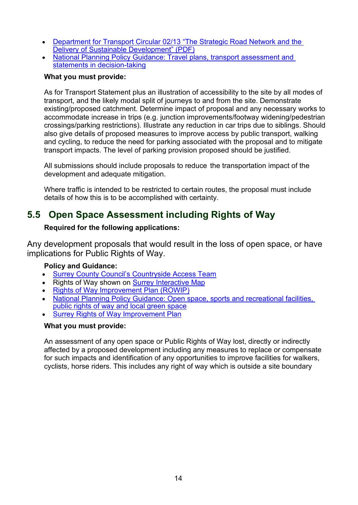- [Department for Transport Circular 02/13 "The Strategic Road Network and the](https://www.gov.uk/government/uploads/system/uploads/attachment_data/file/237412/dft-circular-strategic-road.pdf)  [Delivery of Sustainable Development" \(PDF\)](https://www.gov.uk/government/uploads/system/uploads/attachment_data/file/237412/dft-circular-strategic-road.pdf)
- National Planning Policy Guidance: Travel plans, transport assessment and [statements in decision-taking](http://planningguidance.planningportal.gov.uk/blog/guidance/travel-plans-transport-assessments-and-statements-in-decision-taking/)

#### **What you must provide:**

As for Transport Statement plus an illustration of accessibility to the site by all modes of transport, and the likely modal split of journeys to and from the site. Demonstrate existing/proposed catchment. Determine impact of proposal and any necessary works to accommodate increase in trips (e.g. junction improvements/footway widening/pedestrian crossings/parking restrictions). Illustrate any reduction in car trips due to siblings. Should also give details of proposed measures to improve access by public transport, walking and cycling, to reduce the need for parking associated with the proposal and to mitigate transport impacts. The level of parking provision proposed should be justified.

All submissions should include proposals to reduce the transportation impact of the development and adequate mitigation.

Where traffic is intended to be restricted to certain routes, the proposal must include details of how this is to be accomplished with certainty.

# <span id="page-13-0"></span>**5.5 Open Space Assessment including Rights of Way**

### **Required for the following applications:**

Any development proposals that would result in the loss of open space, or have implications for Public Rights of Way.

### **Policy and Guidance:**

- [Surrey County Council's Countryside Access Team](https://www.surreycc.gov.uk/environment-housing-and-planning/countryside)
- Rights of Way shown on [Surrey Interactive Map](http://www.surreycc.gov.uk/maps/surrey-interactive-map)
- [Rights of Way Improvement Plan \(ROWIP\)](https://www.surreycc.gov.uk/land-planning-and-development/countryside/footpaths-byways-and-bridleways/rights-of-way-improvement-plan)
- [National Planning Policy Guidance: Open space, sports and recreational facilities,](https://www.gov.uk/guidance/open-space-sports-and-recreation-facilities-public-rights-of-way-and-local-green-space)  [public rights of way and local green space](https://www.gov.uk/guidance/open-space-sports-and-recreation-facilities-public-rights-of-way-and-local-green-space)
- **[Surrey Rights of Way Improvement Plan](https://www.surreycc.gov.uk/land-planning-and-development/countryside/footpaths-byways-and-bridleways/rights-of-way-improvement-plan)**

### **What you must provide:**

An assessment of any open space or Public Rights of Way lost, directly or indirectly affected by a proposed development including any measures to replace or compensate for such impacts and identification of any opportunities to improve facilities for walkers, cyclists, horse riders. This includes any right of way which is outside a site boundary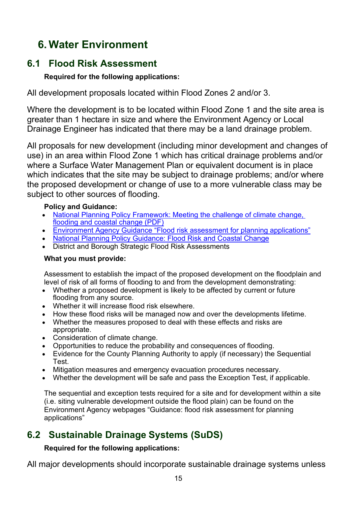# <span id="page-14-0"></span>**6. Water Environment**

# <span id="page-14-1"></span>**6.1 Flood Risk Assessment**

## **Required for the following applications:**

All development proposals located within Flood Zones 2 and/or 3.

Where the development is to be located within Flood Zone 1 and the site area is greater than 1 hectare in size and where the Environment Agency or Local Drainage Engineer has indicated that there may be a land drainage problem.

All proposals for new development (including minor development and changes of use) in an area within Flood Zone 1 which has critical drainage problems and/or where a Surface Water Management Plan or equivalent document is in place which indicates that the site may be subject to drainage problems; and/or where the proposed development or change of use to a more vulnerable class may be subject to other sources of flooding.

## **Policy and Guidance:**

- National Planning Policy Framework: Meeting the challenge of climate change, [flooding and coastal change \(PDF\)](https://assets.publishing.service.gov.uk/government/uploads/system/uploads/attachment_data/file/810197/NPPF_Feb_2019_revised.pdf)
- [Environment Agency Guidance "Flood risk assessment for planning applications"](https://www.gov.uk/guidance/flood-risk-assessment-for-planning-applications)
- [National Planning Policy Guidance: Flood Risk and Coastal Change](http://planningguidance.planningportal.gov.uk/blog/guidance/flood-risk-and-coastal-change/)
- District and Borough Strategic Flood Risk Assessments

## **What you must provide:**

Assessment to establish the impact of the proposed development on the floodplain and level of risk of all forms of flooding to and from the development demonstrating:

- Whether a proposed development is likely to be affected by current or future flooding from any source.
- Whether it will increase flood risk elsewhere.
- How these flood risks will be managed now and over the developments lifetime.
- Whether the measures proposed to deal with these effects and risks are appropriate.
- Consideration of climate change.
- Opportunities to reduce the probability and consequences of flooding.
- Evidence for the County Planning Authority to apply (if necessary) the Sequential Test.
- Mitigation measures and emergency evacuation procedures necessary.
- Whether the development will be safe and pass the Exception Test, if applicable.

The sequential and exception tests required for a site and for development within a site (i.e. siting vulnerable development outside the flood plain) can be found on the Environment Agency webpages "Guidance: flood risk assessment for planning applications"

# <span id="page-14-2"></span>**6.2 Sustainable Drainage Systems (SuDS)**

# **Required for the following applications:**

All major developments should incorporate sustainable drainage systems unless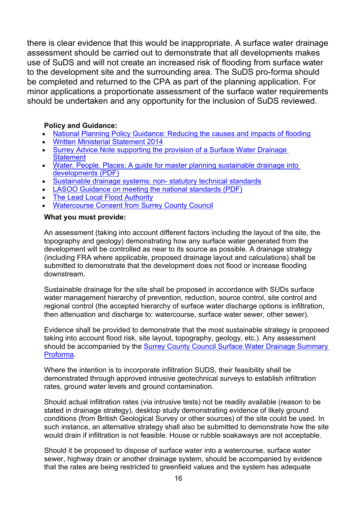there is clear evidence that this would be inappropriate. A surface water drainage assessment should be carried out to demonstrate that all developments makes use of SuDS and will not create an increased risk of flooding from surface water to the development site and the surrounding area. The SuDS pro-forma should be completed and returned to the CPA as part of the planning application. For minor applications a proportionate assessment of the surface water requirements should be undertaken and any opportunity for the inclusion of SuDS reviewed.

#### **Policy and Guidance:**

- [National Planning Policy Guidance: Reducing the causes and impacts of flooding](https://www.gov.uk/guidance/flood-risk-and-coastal-change#flood-risk-opportunities)
- [Written Ministerial Statement 2014](https://www.parliament.uk/business/publications/written-questions-answers-statements/written-statement/Commons/2014-12-18/HCWS161)
- Surrey Advice Note supporting the provision of a Surface Water Drainage **[Statement](https://www.surreycc.gov.uk/people-and-community/emergency-planning-and-community-safety/flooding-advice/more-about-flooding/suds-planning-advice)**
- Water. People. Places: A guide for master planning sustainable drainage into [developments \(PDF\)](https://www.midsussex.gov.uk/media/2909/water-people-places-a-guide-for-master-planning-sustainable-drainage-into-developments.pdf)
- [Sustainable drainage systems: non-](https://www.gov.uk/government/publications/sustainable-drainage-systems-non-statutory-technical-standards) statutory technical standards
- [LASOO Guidance on meeting the national standards \(PDF\)](https://www.susdrain.org/files/resources/other-guidance/lasoo_non_statutory_suds_technical_standards_guidance_2016_.pdf)
- [The Lead Local Flood Authority](https://www.surreycc.gov.uk/people-and-community/emergency-planning-and-community-safety/flooding-advice/more-about-flooding/the-flood-and-water-management-act)
- [Watercourse Consent from Surrey County Council](https://www.surreycc.gov.uk/people-and-community/emergency-planning-and-community-safety/flooding-advice/more-about-flooding/ordinary-watercourse-consents)

#### **What you must provide:**

An assessment (taking into account different factors including the layout of the site, the topography and geology) demonstrating how any surface water generated from the development will be controlled as near to its source as possible. A drainage strategy (including FRA where applicable, proposed drainage layout and calculations) shall be submitted to demonstrate that the development does not flood or increase flooding downstream.

Sustainable drainage for the site shall be proposed in accordance with SUDs surface water management hierarchy of prevention, reduction, source control, site control and regional control (the accepted hierarchy of surface water discharge options is infiltration, then attenuation and discharge to: watercourse, surface water sewer, other sewer).

Evidence shall be provided to demonstrate that the most sustainable strategy is proposed taking into account flood risk, site layout, topography, geology, etc.). Any assessment should be accompanied by the **Surrey County Council Surface Water Drainage Summary** [Proforma.](https://www.surreycc.gov.uk/people-and-community/emergency-planning-and-community-safety/flooding-advice/more-about-flooding/suds-planning-advice)

Where the intention is to incorporate infiltration SUDS, their feasibility shall be demonstrated through approved intrusive geotechnical surveys to establish infiltration rates, ground water levels and ground contamination.

Should actual infiltration rates (via intrusive tests) not be readily available (reason to be stated in drainage strategy), desktop study demonstrating evidence of likely ground conditions (from British Geological Survey or other sources) of the site could be used. In such instance, an alternative strategy shall also be submitted to demonstrate how the site would drain if infiltration is not feasible. House or rubble soakaways are not acceptable.

Should it be proposed to dispose of surface water into a watercourse, surface water sewer, highway drain or another drainage system, should be accompanied by evidence that the rates are being restricted to greenfield values and the system has adequate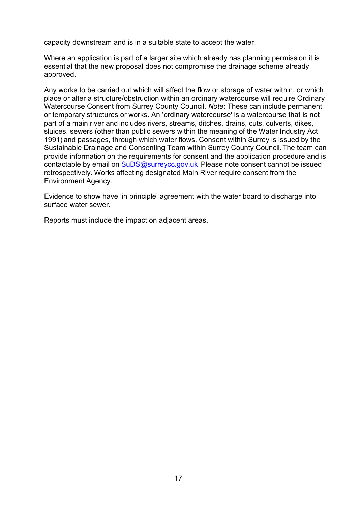capacity downstream and is in a suitable state to accept the water.

Where an application is part of a larger site which already has planning permission it is essential that the new proposal does not compromise the drainage scheme already approved.

Any works to be carried out which will affect the flow or storage of water within, or which place or alter a structure/obstruction within an ordinary watercourse will require Ordinary Watercourse Consent from Surrey County Council. *Note*: These can include permanent or temporary structures or works. An 'ordinary watercourse' is a watercourse that is not part of a main river and includes rivers, streams, ditches, drains, cuts, culverts, dikes, sluices, sewers (other than public sewers within the meaning of the Water Industry Act 1991) and passages, through which water flows. Consent within Surrey is issued by the Sustainable Drainage and Consenting Team within Surrey County Council.The team can provide information on the requirements for consent and the application procedure and is contactable by email on [SuDS@surreycc.gov.uk](mailto:SuDS@surreycc.gov.uk) Please note consent cannot be issued retrospectively. Works affecting designated Main River require consent from the Environment Agency.

Evidence to show have 'in principle' agreement with the water board to discharge into surface water sewer.

Reports must include the impact on adjacent areas.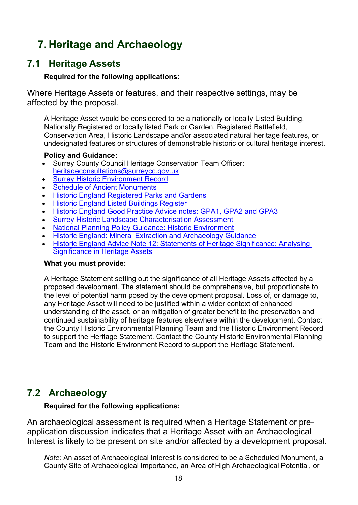# <span id="page-17-0"></span>**7. Heritage and Archaeology**

# <span id="page-17-1"></span>**7.1 Heritage Assets**

### **Required for the following applications:**

Where Heritage Assets or features, and their respective settings, may be affected by the proposal.

A Heritage Asset would be considered to be a nationally or locally Listed Building, Nationally Registered or locally listed Park or Garden, Registered Battlefield, Conservation Area, Historic Landscape and/or associated natural heritage features, or undesignated features or structures of demonstrable historic or cultural heritage interest.

### **Policy and Guidance:**

- Surrey County Council Heritage Conservation Team Officer: [heritageconsultations@surreycc.gov.uk](mailto:heritageconsultations@surreycc.gov.uk)
- [Surrey Historic Environment Record](https://www.surreycc.gov.uk/land-planning-and-development/historical-planning/historic-environment-record)
- [Schedule of Ancient Monuments](https://historicengland.org.uk/listing/what-is-designation/scheduled-monuments/)
- [Historic England Registered Parks and Gardens](https://historicengland.org.uk/listing/what-is-designation/registered-parks-and-gardens/)
- [Historic England Listed Buildings Register](https://historicengland.org.uk/listing/what-is-designation/listed-buildings/)
- [Historic England Good Practice Advice notes: GPA1, GPA2 and GPA3](https://historicengland.org.uk/images-books/publications/)
- [Surrey Historic Landscape Characterisation Assessment](https://archaeologydataservice.ac.uk/archives/view/surrey_hlc_2017/index.cfm)
- [National Planning Policy Guidance: Historic](http://planningguidance.planningportal.gov.uk/blog/guidance/conserving-and-enhancing-the-historic-environment/) Environment
- [Historic England: Mineral Extraction and Archaeology Guidance](https://historicengland.org.uk/images-books/publications/mineral-extraction-and-archaeology-advice-note-13/)
- [Historic England Advice Note 12: Statements of Heritage Significance: Analysing](https://historicengland.org.uk/images-books/publications/statements-heritage-significance-advice-note-12/)  [Significance in Heritage Assets](https://historicengland.org.uk/images-books/publications/statements-heritage-significance-advice-note-12/)

### **What you must provide:**

A Heritage Statement setting out the significance of all Heritage Assets affected by a proposed development. The statement should be comprehensive, but proportionate to the level of potential harm posed by the development proposal. Loss of, or damage to, any Heritage Asset will need to be justified within a wider context of enhanced understanding of the asset, or an mitigation of greater benefit to the preservation and continued sustainability of heritage features elsewhere within the development. Contact the County Historic Environmental Planning Team and the Historic Environment Record to support the Heritage Statement. Contact the County Historic Environmental Planning Team and the Historic Environment Record to support the Heritage Statement.

# <span id="page-17-2"></span>**7.2 Archaeology**

### **Required for the following applications:**

An archaeological assessment is required when a Heritage Statement or preapplication discussion indicates that a Heritage Asset with an Archaeological Interest is likely to be present on site and/or affected by a development proposal.

*Note:* An asset of Archaeological Interest is considered to be a Scheduled Monument, a County Site of Archaeological Importance, an Area of High Archaeological Potential, or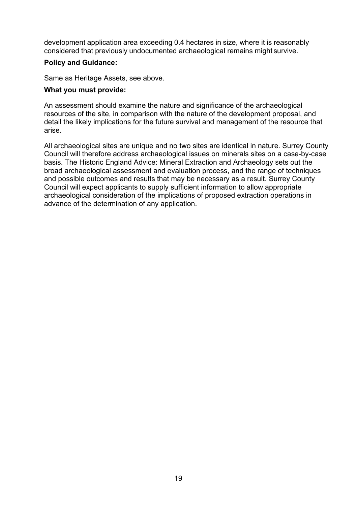development application area exceeding 0.4 hectares in size, where it is reasonably considered that previously undocumented archaeological remains might survive.

#### **Policy and Guidance:**

Same as Heritage Assets, see above.

#### **What you must provide:**

An assessment should examine the nature and significance of the archaeological resources of the site, in comparison with the nature of the development proposal, and detail the likely implications for the future survival and management of the resource that arise.

All archaeological sites are unique and no two sites are identical in nature. Surrey County Council will therefore address archaeological issues on minerals sites on a case-by-case basis. The Historic England Advice: Mineral Extraction and Archaeology sets out the broad archaeological assessment and evaluation process, and the range of techniques and possible outcomes and results that may be necessary as a result. Surrey County Council will expect applicants to supply sufficient information to allow appropriate archaeological consideration of the implications of proposed extraction operations in advance of the determination of any application.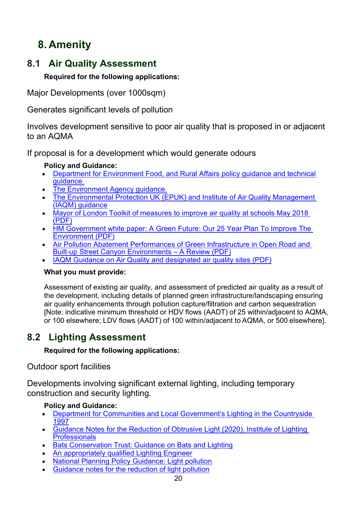# <span id="page-19-0"></span>**8. Amenity**

# <span id="page-19-1"></span>**8.1 Air Quality Assessment**

## **Required for the following applications:**

Major Developments (over 1000sqm)

Generates significant levels of pollution

Involves development sensitive to poor air quality that is proposed in or adjacent to an AQMA

If proposal is for a development which would generate odours

## **Policy and Guidance:**

- [Department for Environment Food, and Rural Affairs policy guidance and technical](http://www.defra.gov.uk/environment/quality/air/air-quality/laqm/guidance/)  [guidance.](http://www.defra.gov.uk/environment/quality/air/air-quality/laqm/guidance/)
- [The Environment Agency guidance.](https://www.gov.uk/environment/pollution-and-environmental-quality)
- The Environmental Protection UK (EPUK) and Institute of Air Quality Management [\(IAQM\) guidance](http://iaqm.co.uk/guidance/)
- [Mayor of London Toolkit of measures to improve air quality at schools May 2018](https://www.london.gov.uk/sites/default/files/school_aq_audits_-_toolkit_of_measures_dr_v3.3.pdf) [\(PDF\)](https://www.london.gov.uk/sites/default/files/school_aq_audits_-_toolkit_of_measures_dr_v3.3.pdf)
- HM Government white paper: A Green Future: Our 25 Year Plan To Improve The [Environment](https://assets.publishing.service.gov.uk/government/uploads/system/uploads/attachment_data/file/693158/25-year-environment-plan.pdf) (PDF)
- [Air Pollution Abatement Performances of Green Infrastructure in Open Road and](https://www.iscapeproject.eu/wp-content/uploads/2017/05/Manuscript-GI-Review_Accepted-Version.pdf)  [Built-up Street Canyon Environments –](https://www.iscapeproject.eu/wp-content/uploads/2017/05/Manuscript-GI-Review_Accepted-Version.pdf) A Review (PDF)
- [IAQM Guidance on Air Quality and designated air quality sites \(PDF\)](https://www.iscapeproject.eu/wp-content/uploads/2017/05/Manuscript-GI-Review_Accepted-Version.pdf)

## **What you must provide:**

Assessment of existing air quality, and assessment of predicted air quality as a result of the development, including details of planned green infrastructure/landscaping ensuring air quality enhancements through pollution capture/filtration and carbon sequestration [Note: indicative minimum threshold or HDV flows (AADT) of 25 within/adjacent to AQMA, or 100 elsewhere; LDV flows (AADT) of 100 within/adjacent to AQMA, or 500 elsewhere].

# <span id="page-19-2"></span>**8.2 Lighting Assessment**

# **Required for the following applications:**

Outdoor sport facilities

Developments involving significant external lighting, including temporary construction and security lighting.

# **Policy and Guidance:**

- [Department for Communities and Local Government's Lighting in the Countryside](https://webarchive.nationalarchives.gov.uk/20120919202429/http:/www.communities.gov.uk/archived/publications/planningandbuilding/lighting)  [1997](https://webarchive.nationalarchives.gov.uk/20120919202429/http:/www.communities.gov.uk/archived/publications/planningandbuilding/lighting)
- [Guidance Notes for the Reduction of Obtrusive Light \(2020\), Institute of Lighting](https://www.theilp.org.uk/documents/obtrusive-light/)  **[Professionals](https://www.theilp.org.uk/documents/obtrusive-light/)**
- [Bats Conservation Trust: Guidance on Bats and Lighting](https://www.bats.org.uk/news/2018/09/new-guidance-on-bats-and-lighting)
- [An appropriately qualified Lighting Engineer](https://www.theilp.org.uk/resources/consultants/)
- [National Planning Policy Guidance: Light pollution](https://www.gov.uk/guidance/light-pollution)
- [Guidance notes for the reduction of light pollution](https://www.theilp.org.uk/documents/obtrusive-light/)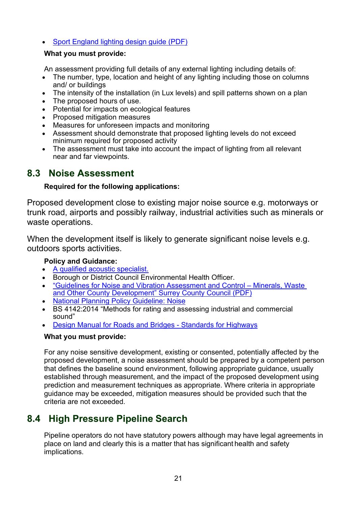• [Sport England lighting design guide \(PDF\)](file://surreycc.local/deptwide/EAI/PD%20all/Planning/Development%20Control/Validation%20Checklist/03%20Validation%20Checklist%20Review%202019/Final%20docs/%E2%80%A2%09https:/www.sportengland.org/media/4181/artificial-sports-lighting-design-guide-%202012-051112.pdf)

### **What you must provide:**

An assessment providing full details of any external lighting including details of:

- The number, type, location and height of any lighting including those on columns and/ or buildings
- The intensity of the installation (in Lux levels) and spill patterns shown on a plan
- The proposed hours of use.
- Potential for impacts on ecological features
- Proposed mitigation measures
- Measures for unforeseen impacts and monitoring
- Assessment should demonstrate that proposed lighting levels do not exceed minimum required for proposed activity
- The assessment must take into account the impact of lighting from all relevant near and far viewpoints.

# <span id="page-20-0"></span>**8.3 Noise Assessment**

## **Required for the following applications:**

Proposed development close to existing major noise source e.g. motorways or trunk road, airports and possibly railway, industrial activities such as minerals or waste operations.

When the development itself is likely to generate significant noise levels e.g. outdoors sports activities.

## **Policy and Guidance:**

- [A qualified acoustic](http://www.ioa.org.uk/) specialist.
- Borough or District Council Environmental Health Officer.
- ["Guidelines for Noise and Vibration Assessment and Control –](https://www.surreycc.gov.uk/__data/assets/pdf_file/0019/16453/Surrey-Noise-Guidelines-January-2020.pdf) Minerals, Waste [and Other County Development" Surrey County Council \(PDF\)](https://www.surreycc.gov.uk/__data/assets/pdf_file/0019/16453/Surrey-Noise-Guidelines-January-2020.pdf)
- [National Planning Policy Guideline: Noise](https://www.gov.uk/guidance/noise--2)
- BS 4142:2014 "Methods for rating and assessing industrial and commercial sound"
- [Design Manual for Roads and Bridges -](http://www.standardsforhighways.co.uk/ha/standards/) Standards for Highways

### **What you must provide:**

For any noise sensitive development, existing or consented, potentially affected by the proposed development, a noise assessment should be prepared by a competent person that defines the baseline sound environment, following appropriate guidance, usually established through measurement, and the impact of the proposed development using prediction and measurement techniques as appropriate. Where criteria in appropriate guidance may be exceeded, mitigation measures should be provided such that the criteria are not exceeded.

# <span id="page-20-1"></span>**8.4 High Pressure Pipeline Search**

Pipeline operators do not have statutory powers although may have legal agreements in place on land and clearly this is a matter that has significant health and safety implications.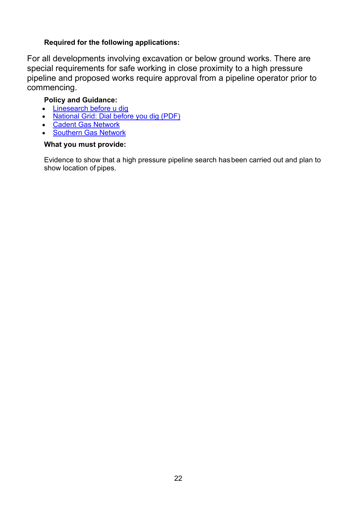### **Required for the following applications:**

For all developments involving excavation or below ground works. There are special requirements for safe working in close proximity to a high pressure pipeline and proposed works require approval from a pipeline operator prior to commencing.

### **Policy and Guidance:**

- [Linesearch before u dig](https://www.linesearchbeforeudig.co.uk/)
- [National Grid: Dial before you dig \(PDF\)](https://www.nationalgrid.com/sites/default/files/documents/33969-Dial%20before%20you%20dig%20-%20your%20at-a-glance%20guide.pdf)
- [Cadent Gas Network](https://cadentgas.com/help-advice/digging-safely)
- [Southern Gas Network](https://www.sgn.co.uk/help-and-advice/digging-safely)

### **What you must provide:**

Evidence to show that a high pressure pipeline search hasbeen carried out and plan to show location of pipes.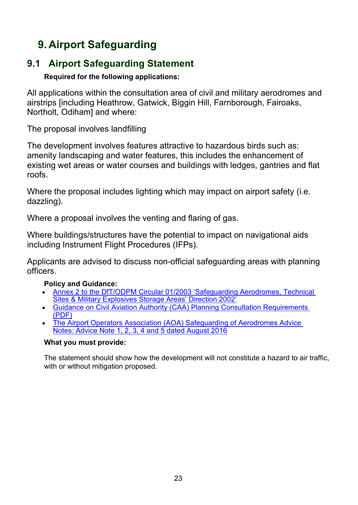# <span id="page-22-0"></span>**9. Airport Safeguarding**

# <span id="page-22-1"></span>**9.1 Airport Safeguarding Statement**

# **Required for the following applications:**

All applications within the consultation area of civil and military aerodromes and airstrips [including Heathrow, Gatwick, Biggin Hill, Farnborough, Fairoaks, Northolt, Odiham] and where:

The proposal involves landfilling

The development involves features attractive to hazardous birds such as: amenity landscaping and water features, this includes the enhancement of existing wet areas or water courses and buildings with ledges, gantries and flat roofs.

Where the proposal includes lighting which may impact on airport safety (i.e. dazzling).

Where a proposal involves the venting and flaring of gas.

Where buildings/structures have the potential to impact on navigational aids including Instrument Flight Procedures (IFPs).

Applicants are advised to discuss non-official safeguarding areas with planning officers.

# **Policy and Guidance:**

- [Annex 2 to the DfT/ODPM Circular 01/2003 'Safeguarding Aerodromes, Technical](https://www.gov.uk/government/publications/safeguarding-aerodromes-technical-sites-and-military-explosives-storage-areas)  [Sites & Military Explosives Storage Areas' Direction 2002'](https://www.gov.uk/government/publications/safeguarding-aerodromes-technical-sites-and-military-explosives-storage-areas)
- [Guidance on Civil Aviation Authority \(CAA\) Planning Consultation Requirements](https://publicapps.caa.co.uk/docs/33/20120802GuidanceOnCAAPlanningConsultationRequirementsAug12Update.pdf)  [\(PDF\)](https://publicapps.caa.co.uk/docs/33/20120802GuidanceOnCAAPlanningConsultationRequirementsAug12Update.pdf)
- [The Airport Operators Association \(AOA\) Safeguarding of Aerodromes Advice](http://www.aoa.org.uk/policy-campaigns/operations-safety/)  [Notes: Advice Note 1, 2, 3, 4 and 5 dated August 2016](http://www.aoa.org.uk/policy-campaigns/operations-safety/)

## **What you must provide:**

The statement should show how the development will not constitute a hazard to air traffic, with or without mitigation proposed.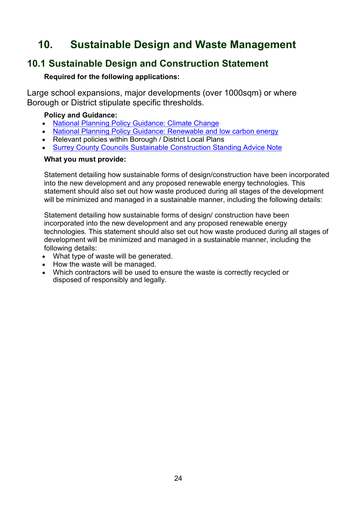# <span id="page-23-0"></span>**10. Sustainable Design and Waste Management**

# <span id="page-23-1"></span>**10.1 Sustainable Design and Construction Statement**

### **Required for the following applications:**

Large school expansions, major developments (over 1000sqm) or where Borough or District stipulate specific thresholds.

### **Policy and Guidance:**

- [National Planning Policy Guidance: Climate Change](http://planningguidance.planningportal.gov.uk/blog/guidance/climate-change/)
- [National Planning Policy Guidance: Renewable and low carbon energy](http://planningguidance.planningportal.gov.uk/blog/guidance/renewable-and-low-carbon-energy/)
- Relevant policies within Borough / District Local Plans
- [Surrey County Councils Sustainable Construction Standing Advice Note](https://www.surreycc.gov.uk/__data/assets/pdf_file/0006/93516/2016-09-08-Sustainable-Cons-Standing-Advice_p1.pdf)

### **What you must provide:**

Statement detailing how sustainable forms of design/construction have been incorporated into the new development and any proposed renewable energy technologies. This statement should also set out how waste produced during all stages of the development will be minimized and managed in a sustainable manner, including the following details:

Statement detailing how sustainable forms of design/ construction have been incorporated into the new development and any proposed renewable energy technologies. This statement should also set out how waste produced during all stages of development will be minimized and managed in a sustainable manner, including the following details:

- What type of waste will be generated.
- How the waste will be managed.
- Which contractors will be used to ensure the waste is correctly recycled or disposed of responsibly and legally.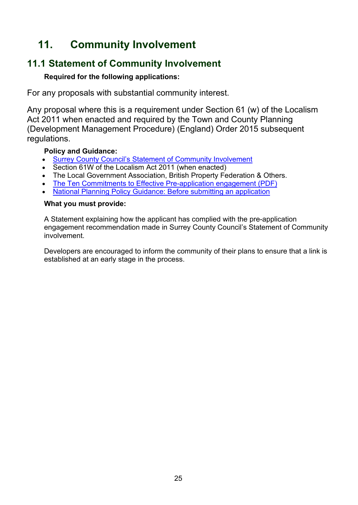# <span id="page-24-0"></span>**11. Community Involvement**

# <span id="page-24-1"></span>**11.1 Statement of Community Involvement**

## **Required for the following applications:**

For any proposals with substantial community interest.

Any proposal where this is a requirement under Section 61 (w) of the Localism Act 2011 when enacted and required by the Town and County Planning (Development Management Procedure) (England) Order 2015 subsequent regulations.

## **Policy and Guidance:**

- [Surrey County Council's Statement of Community Involvement](https://www.surreycc.gov.uk/land-planning-and-development/minerals-and-waste/statement-of-community-involvement)
- Section 61W of the Localism Act 2011 (when enacted)
- The Local Government Association, British Property Federation & Others.
- [The Ten Commitments to Effective Pre-application engagement \(PDF\)](http://www.rtpi.org.uk/media/844002/10%20commitments%20for%20effective%20pre-application%20engagement.pdf)
- [National Planning Policy Guidance: Before submitting an application](http://planningguidance.planningportal.gov.uk/blog/guidance/before-submitting-an-application/)

### **What you must provide:**

A Statement explaining how the applicant has complied with the pre-application engagement recommendation made in Surrey County Council's Statement of Community involvement.

Developers are encouraged to inform the community of their plans to ensure that a link is established at an early stage in the process.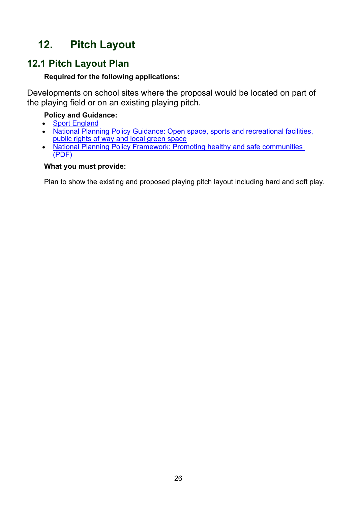# <span id="page-25-0"></span>**12. Pitch Layout**

# <span id="page-25-1"></span>**12.1 Pitch Layout Plan**

# **Required for the following applications:**

Developments on school sites where the proposal would be located on part of the playing field or on an existing playing pitch.

# **Policy and Guidance:**

- [Sport England](http://www.sportengland.org/)
- National Planning Policy Guidance: Open space, sports and recreational facilities, [public rights of way and local green space](https://www.gov.uk/guidance/open-space-sports-and-recreation-facilities-public-rights-of-way-and-local-green-space)
- National Planning Policy Framework: Promoting healthy and safe communities [\(PDF\)](https://assets.publishing.service.gov.uk/government/uploads/system/uploads/attachment_data/file/810197/NPPF_Feb_2019_revised.pdf)

## **What you must provide:**

Plan to show the existing and proposed playing pitch layout including hard and soft play.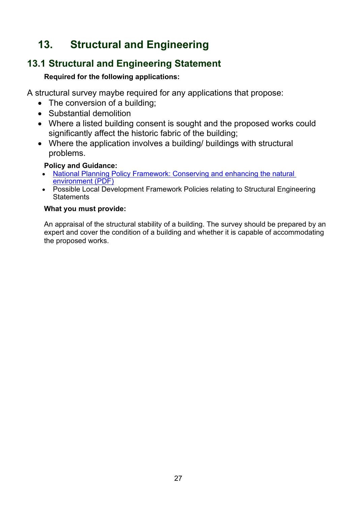# <span id="page-26-0"></span>**13. Structural and Engineering**

# <span id="page-26-1"></span>**13.1 Structural and Engineering Statement**

# **Required for the following applications:**

A structural survey maybe required for any applications that propose:

- The conversion of a building:
- Substantial demolition
- Where a listed building consent is sought and the proposed works could significantly affect the historic fabric of the building;
- Where the application involves a building/ buildings with structural problems.

# **Policy and Guidance:**

- [National Planning Policy Framework: Conserving and enhancing the natural](https://assets.publishing.service.gov.uk/government/uploads/system/uploads/attachment_data/file/810197/NPPF_Feb_2019_revised.pdf)  [environment](https://assets.publishing.service.gov.uk/government/uploads/system/uploads/attachment_data/file/810197/NPPF_Feb_2019_revised.pdf) (PDF)
- Possible Local Development Framework Policies relating to Structural Engineering **Statements**

# **What you must provide:**

An appraisal of the structural stability of a building. The survey should be prepared by an expert and cover the condition of a building and whether it is capable of accommodating the proposed works.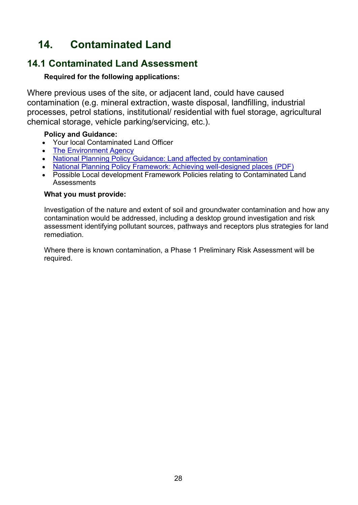# <span id="page-27-0"></span>**14. Contaminated Land**

# <span id="page-27-1"></span>**14.1 Contaminated Land Assessment**

## **Required for the following applications:**

Where previous uses of the site, or adjacent land, could have caused contamination (e.g. mineral extraction, waste disposal, landfilling, industrial processes, petrol stations, institutional/ residential with fuel storage, agricultural chemical storage, vehicle parking/servicing, etc.).

### **Policy and Guidance:**

- Your local Contaminated Land Officer
- [The Environment Agency](https://www.gov.uk/government/organisations/environment-agency#org-contacts)
- [National Planning Policy Guidance: Land affected by contamination](http://planningguidance.planningportal.gov.uk/blog/guidance/land-affected-by-contamination/)
- [National Planning Policy Framework: Achieving well-designed places \(PDF\)](https://assets.publishing.service.gov.uk/government/uploads/system/uploads/attachment_data/file/810197/NPPF_Feb_2019_revised.pdf)
- Possible Local development Framework Policies relating to Contaminated Land Assessments

### **What you must provide:**

Investigation of the nature and extent of soil and groundwater contamination and how any contamination would be addressed, including a desktop ground investigation and risk assessment identifying pollutant sources, pathways and receptors plus strategies for land remediation.

Where there is known contamination, a Phase 1 Preliminary Risk Assessment will be required.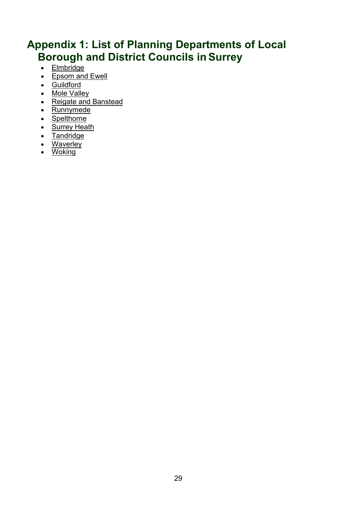# <span id="page-28-0"></span>**Appendix 1: List of Planning Departments of Local Borough and District Councils in Surrey**

- [Elmbridge](http://www.elmbridge.gov.uk/planning/)
- [Epsom and Ewell](http://www.epsom-ewell.gov.uk/planning-applications)
- [Guildford](https://www.guildford.gov.uk/planningservices)
- Mole [Valley](http://www.mole-valley.gov.uk/index.cfm?articleid=16303)
- [Reigate and](https://www.reigate-banstead.gov.uk/info/20043/planning?oldUrl) Banstead
- [Runnymede](https://www.runnymede.gov.uk/article/13814/Planning-and-Building-Control)
- [Spelthorne](https://www.spelthorne.gov.uk/planning)
- [Surrey](http://www.surreyheath.gov.uk/planning) Heath
- [Tandridge](https://www.tandridge.gov.uk/Planning-and-building/Planning-applications-and-enforcement)
- [Waverley](http://www.waverley.gov.uk/planning)
- [Woking](https://www.woking.gov.uk/planning)